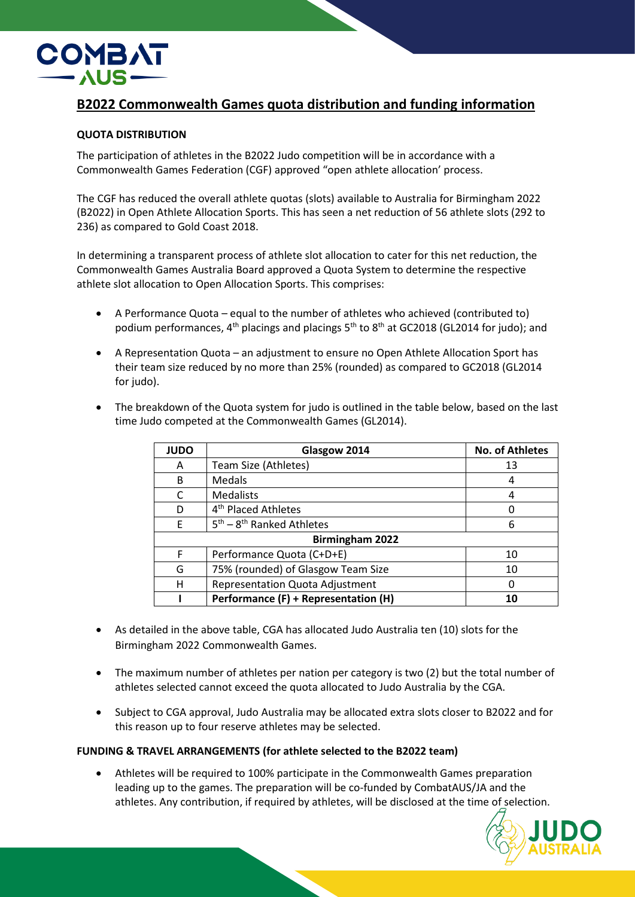

## **B2022 Commonwealth Games quota distribution and funding information**

## **QUOTA DISTRIBUTION**

The participation of athletes in the B2022 Judo competition will be in accordance with a Commonwealth Games Federation (CGF) approved "open athlete allocation' process.

The CGF has reduced the overall athlete quotas (slots) available to Australia for Birmingham 2022 (B2022) in Open Athlete Allocation Sports. This has seen a net reduction of 56 athlete slots (292 to 236) as compared to Gold Coast 2018.

In determining a transparent process of athlete slot allocation to cater for this net reduction, the Commonwealth Games Australia Board approved a Quota System to determine the respective athlete slot allocation to Open Allocation Sports. This comprises:

- A Performance Quota equal to the number of athletes who achieved (contributed to) podium performances,  $4^{th}$  placings and placings  $5^{th}$  to  $8^{th}$  at GC2018 (GL2014 for judo); and
- A Representation Quota an adjustment to ensure no Open Athlete Allocation Sport has their team size reduced by no more than 25% (rounded) as compared to GC2018 (GL2014 for judo).
- The breakdown of the Quota system for judo is outlined in the table below, based on the last time Judo competed at the Commonwealth Games (GL2014).

| <b>JUDO</b>            | Glasgow 2014                           | <b>No. of Athletes</b> |
|------------------------|----------------------------------------|------------------------|
| Α                      | Team Size (Athletes)                   | 13                     |
| B                      | Medals                                 | 4                      |
|                        | <b>Medalists</b>                       | 4                      |
| D                      | 4 <sup>th</sup> Placed Athletes        | U                      |
| F                      | $5th - 8th$ Ranked Athletes            | 6                      |
| <b>Birmingham 2022</b> |                                        |                        |
| F                      | Performance Quota (C+D+E)              | 10                     |
| G                      | 75% (rounded) of Glasgow Team Size     | 10                     |
| н                      | <b>Representation Quota Adjustment</b> | 0                      |
|                        | Performance (F) + Representation (H)   | 10                     |

- As detailed in the above table, CGA has allocated Judo Australia ten (10) slots for the Birmingham 2022 Commonwealth Games.
- The maximum number of athletes per nation per category is two (2) but the total number of athletes selected cannot exceed the quota allocated to Judo Australia by the CGA.
- Subject to CGA approval, Judo Australia may be allocated extra slots closer to B2022 and for this reason up to four reserve athletes may be selected.

## **FUNDING & TRAVEL ARRANGEMENTS (for athlete selected to the B2022 team)**

• Athletes will be required to 100% participate in the Commonwealth Games preparation leading up to the games. The preparation will be co-funded by CombatAUS/JA and the athletes. Any contribution, if required by athletes, will be disclosed at the time of selection.